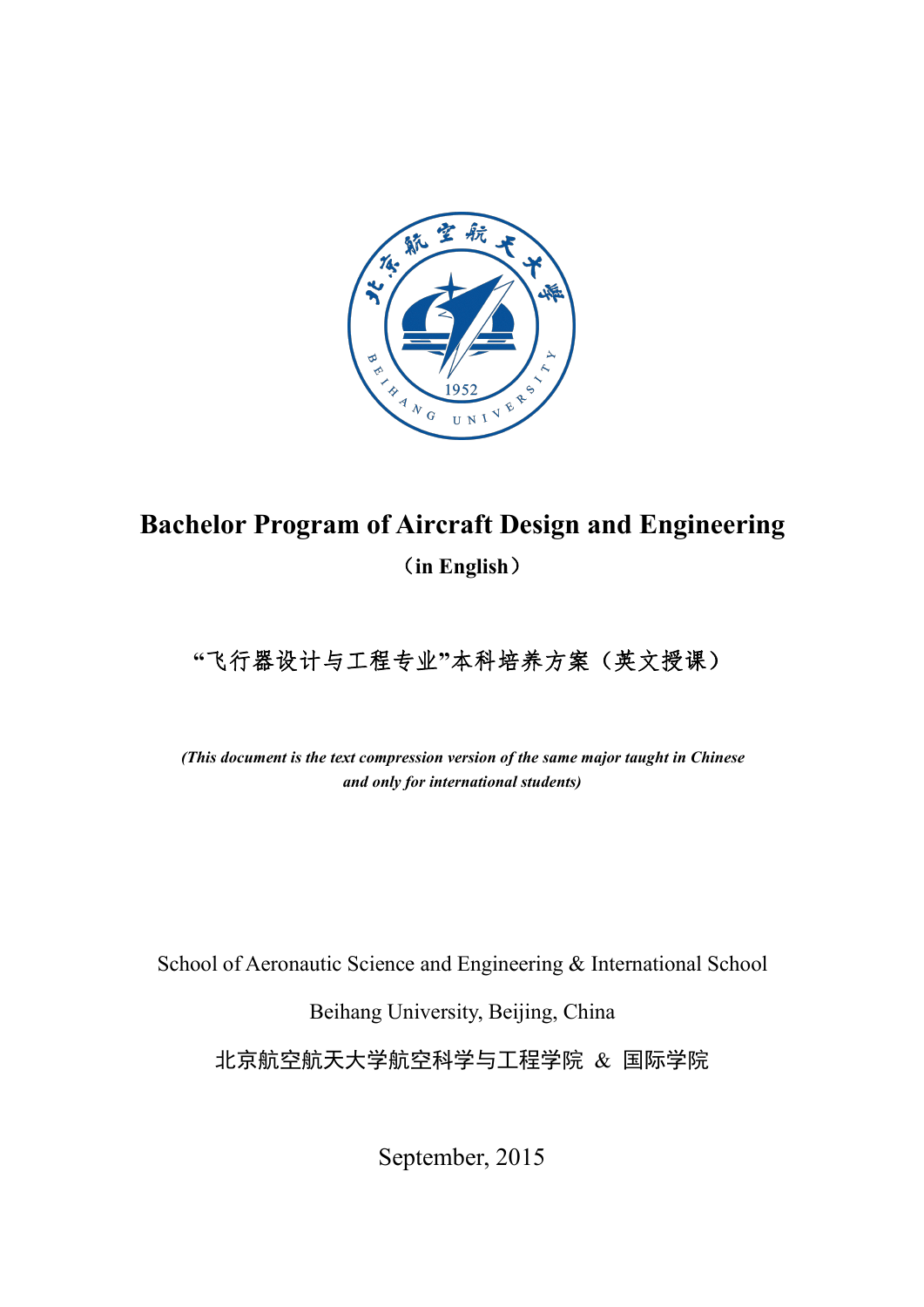

# **Bachelor Program of Aircraft Design and Engineering** (**in English**)

# **"**飞行器设计与工程专业**"**本科培养方案(英文授课)

*(This document is the text compression version of the same major taught in Chinese and only for international students)*

School of Aeronautic Science and Engineering & International School

Beihang University, Beijing, China

北京航空航天大学航空科学与工程学院 & 国际学院

September, 2015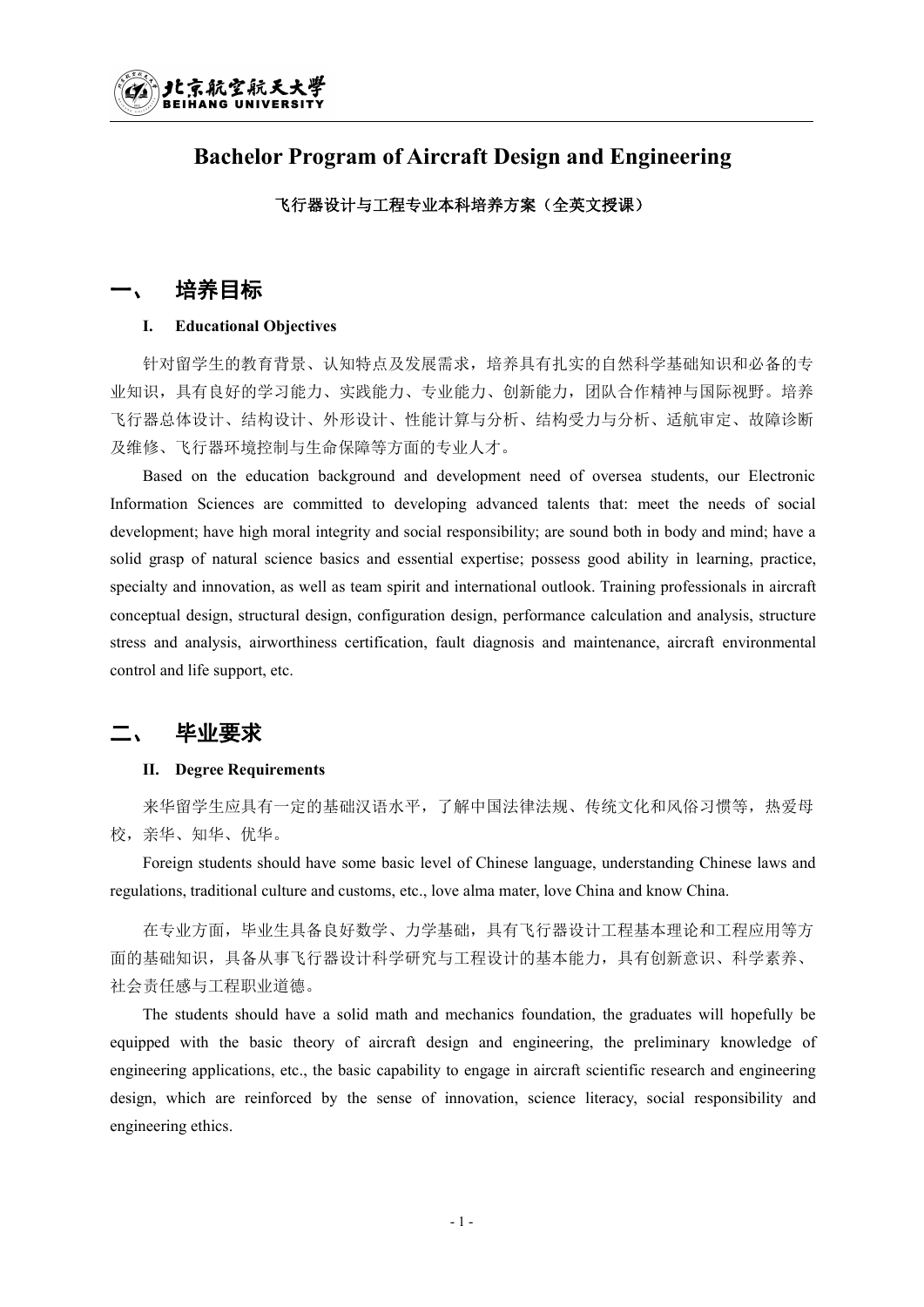## **Bachelor Program of Aircraft Design and Engineering**

#### 飞行器设计与工程专业本科培养方案(全英文授课)

## 培养目标

#### **I. Educational Objectives**

针对留学生的教育背景、认知特点及发展需求,培养具有扎实的自然科学基础知识和必备的专 业知识,具有良好的学习能力、实践能力、专业能力、创新能力,团队合作精神与国际视野。培养 飞行器总体设计、结构设计、外形设计、性能计算与分析、结构受力与分析、适航审定、故障诊断 及维修、飞行器环境控制与生命保障等方面的专业人才。

Based on the education background and development need of oversea students, our Electronic Information Sciences are committed to developing advanced talents that: meet the needs of social development; have high moral integrity and social responsibility; are sound both in body and mind; have a solid grasp of natural science basics and essential expertise; possess good ability in learning, practice, specialty and innovation, as well as team spirit and international outlook. Training professionals in aircraft conceptual design, structural design, configuration design, performance calculation and analysis, structure stress and analysis, airworthiness certification, fault diagnosis and maintenance, aircraft environmental control and life support, etc.

## 毕业要求

#### **II. Degree Requirements**

来华留学生应具有一定的基础汉语水平,了解中国法律法规、传统文化和风俗习惯等,热爱母 校,亲华、知华、优华。

Foreign students should have some basic level of Chinese language, understanding Chinese laws and regulations, traditional culture and customs, etc., love alma mater, love China and know China.

在专业方面,毕业生具备良好数学、力学基础,具有飞行器设计工程基本理论和工程应用等方 面的基础知识,具备从事飞行器设计科学研究与工程设计的基本能力,具有创新意识、科学素养、 社会责任感与工程职业道德。

The students should have a solid math and mechanics foundation, the graduates will hopefully be equipped with the basic theory of aircraft design and engineering, the preliminary knowledge of engineering applications, etc., the basic capability to engage in aircraft scientific research and engineering design, which are reinforced by the sense of innovation, science literacy, social responsibility and engineering ethics.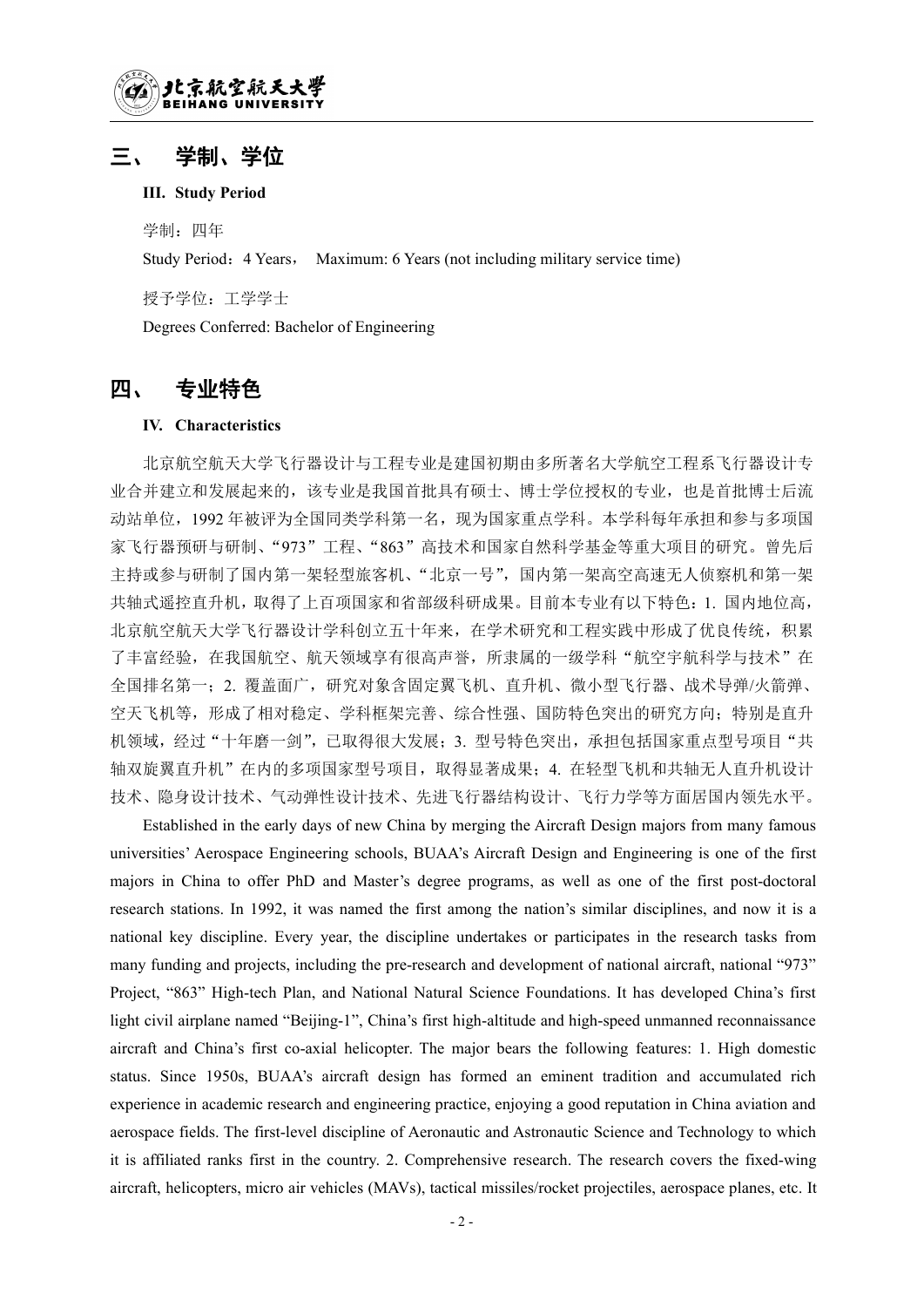## 三、 学制、学位

#### **III. Study Period**

学制: 四年

Study Period: 4 Years, Maximum: 6 Years (not including military service time)

授予学位:工学学士

Degrees Conferred: Bachelor of Engineering

## 四、 专业特色

#### **IV. Characteristics**

北京航空航天大学飞行器设计与工程专业是建国初期由多所著名大学航空工程系飞行器设计专 业合并建立和发展起来的,该专业是我国首批具有硕士、博士学位授权的专业,也是首批博士后流 动站单位,1992 年被评为全国同类学科第一名,现为国家重点学科。本学科每年承担和参与多项国 家飞行器预研与研制、"973"工程、"863"高技术和国家自然科学基金等重大项目的研究。曾先后 主持或参与研制了国内第一架轻型旅客机、"北京一号",国内第一架高空高速无人侦察机和第一架 共轴式遥控直升机,取得了上百项国家和省部级科研成果。目前本专业有以下特色:1. 国内地位高, 北京航空航天大学飞行器设计学科创立五十年来,在学术研究和工程实践中形成了优良传统,积累 了丰富经验,在我国航空、航天领域享有很高声誉,所隶属的一级学科"航空宇航科学与技术"在 全国排名第一;2. 覆盖面广,研究对象含固定翼飞机、直升机、微小型飞行器、战术导弹/火箭弹、 空天飞机等,形成了相对稳定、学科框架完善、综合性强、国防特色突出的研究方向;特别是直升 机领域,经过"十年磨一剑",已取得很大发展;3. 型号特色突出,承担包括国家重点型号项目"共 轴双旋翼直升机"在内的多项国家型号项目,取得显著成果;4. 在轻型飞机和共轴无人直升机设计 技术、隐身设计技术、气动弹性设计技术、先进飞行器结构设计、飞行力学等方面居国内领先水平。

Established in the early days of new China by merging the Aircraft Design majors from many famous universities' Aerospace Engineering schools, BUAA's Aircraft Design and Engineering is one of the first majors in China to offer PhD and Master's degree programs, as wellas one of the first post-doctoral research stations. In 1992, it was named the first among the nation's similar disciplines, and now it is a national key discipline. Every year, the discipline undertakes or participates in the research tasks from many funding and projects, including the pre-research and development of national aircraft, national "973" Project, "863" High-tech Plan, and National Natural Science Foundations. It has developed China's first light civil airplane named "Beijing-1", China's first high-altitude and high-speed unmanned reconnaissance aircraft and China's first co-axial helicopter. The major bears the following features: 1. High domestic status. Since 1950s, BUAA's aircraft design has formed an eminent tradition and accumulated rich experience in academic research and engineering practice, enjoying a good reputation in China aviation and aerospace fields. The first-level discipline of Aeronautic and Astronautic Science and Technology to which it is affiliated ranks first in the country.2. Comprehensive research. The research covers the fixed-wing aircraft, helicopters, micro air vehicles (MAVs), tactical missiles/rocket projectiles, aerospace planes, etc. It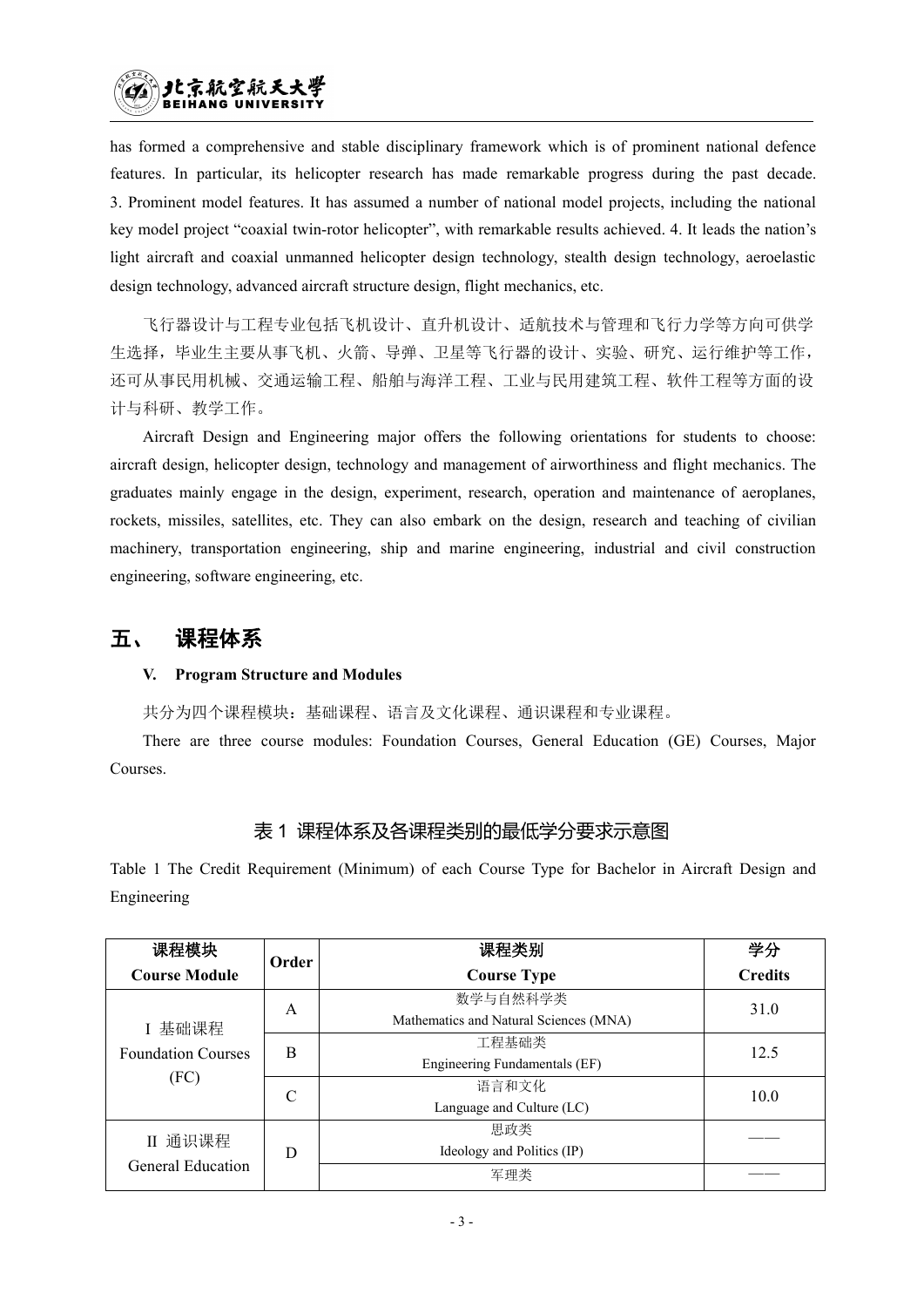has formed a comprehensive and stable disciplinary framework which is of prominent national defence features. In particular, its helicopter research has made remarkable progress during the past decade. 3. Prominent model features. It has assumed a number of national model projects, including the national key model project "coaxial twin-rotor helicopter", with remarkable results achieved. 4. It leads the nation's light aircraft and coaxial unmanned helicopter design technology, stealth design technology, aeroelastic design technology, advanced aircraft structure design, flight mechanics, etc.

飞行器设计与工程专业包括飞机设计、直升机设计、适航技术与管理和飞行力学等方向可供学 生选择,毕业生主要从事飞机、火箭、导弹、卫星等飞行器的设计、实验、研究、运行维护等工作, 还可从事民用机械、交通运输工程、船舶与海洋工程、工业与民用建筑工程、软件工程等方面的设 计与科研、教学工作。

Aircraft Design and Engineering major offers the following orientations for students to choose: aircraft design, helicopter design, technology and management of airworthiness and flight mechanics. The graduates mainly engage in the design, experiment, research, operation and maintenance of aeroplanes, rockets, missiles, satellites, etc. They can also embark on the design, research and teaching of civilian machinery, transportation engineering, ship and marine engineering, industrial and civil construction engineering, software engineering, etc.

## 五、 课程体系

#### **V. Program Structure and Modules**

共分为四个课程模块:基础课程、语言及文化课程、通识课程和专业课程。

There are three course modules: Foundation Courses, General Education (GE) Courses, Major Courses.

### 表 1 课程体系及各课程类别的最低学分要求示意图

Table 1 The Credit Requirement (Minimum) of each Course Type for Bachelor in Aircraft Design and Engineering

| 课程模块                      | Order | 课程类别                                   | 学分             |
|---------------------------|-------|----------------------------------------|----------------|
| <b>Course Module</b>      |       | <b>Course Type</b>                     | <b>Credits</b> |
|                           | Α     | 数学与自然科学类                               | 31.0           |
| I 基础课程                    |       | Mathematics and Natural Sciences (MNA) |                |
| <b>Foundation Courses</b> | B     | 工程基础类                                  | 12.5           |
|                           |       | Engineering Fundamentals (EF)          |                |
| (FC)                      | C     | 语言和文化                                  | 10.0           |
|                           |       | Language and Culture (LC)              |                |
| II 通识课程                   |       | 思政类                                    |                |
|                           | D     | Ideology and Politics (IP)             |                |
| General Education         |       | 军理类                                    |                |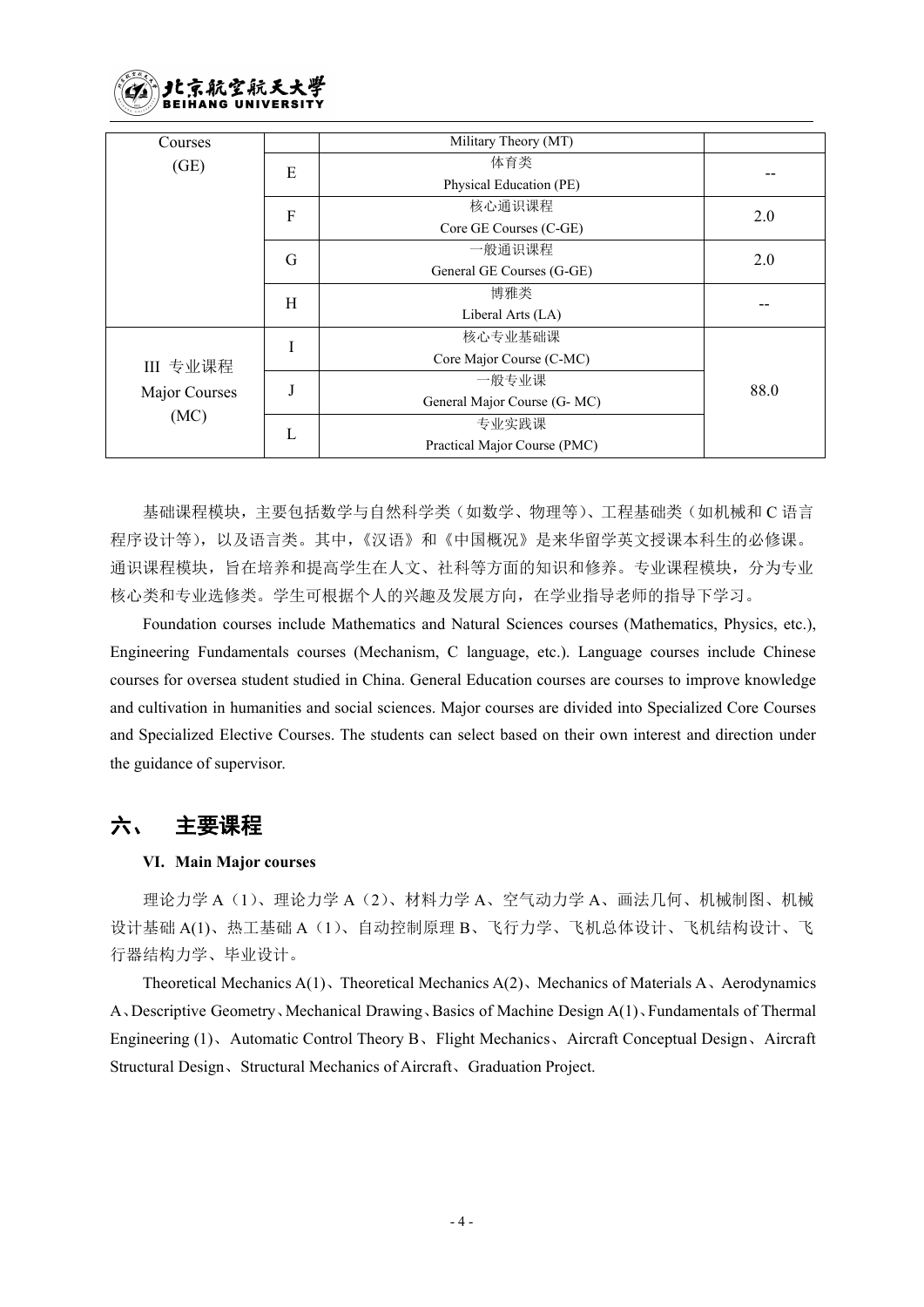

| Courses       |           | Military Theory (MT)         |      |  |
|---------------|-----------|------------------------------|------|--|
| (GE)          | E         | 体育类                          |      |  |
|               |           | Physical Education (PE)      | --   |  |
|               | ${\bf F}$ | 核心通识课程                       | 2.0  |  |
|               |           | Core GE Courses (C-GE)       |      |  |
|               | G         | 一般通识课程                       | 2.0  |  |
|               |           | General GE Courses (G-GE)    |      |  |
|               | H         | 博雅类                          |      |  |
|               |           | Liberal Arts (LA)            |      |  |
|               | I         | 核心专业基础课                      |      |  |
| III 专业课程      |           | Core Major Course (C-MC)     |      |  |
| Major Courses |           | 一般专业课                        | 88.0 |  |
|               |           | General Major Course (G- MC) |      |  |
| (MC)          | L         | 专业实践课                        |      |  |
|               |           | Practical Major Course (PMC) |      |  |

基础课程模块,主要包括数学与自然科学类(如数学、物理等)、工程基础类(如机械和 C 语言 程序设计等),以及语言类。其中,《汉语》和《中国概况》是来华留学英文授课本科生的必修课。 通识课程模块,旨在培养和提高学生在人文、社科等方面的知识和修养。专业课程模块,分为专业 核心类和专业选修类。学生可根据个人的兴趣及发展方向,在学业指导老师的指导下学习。

Foundation courses include Mathematics and Natural Sciences courses (Mathematics, Physics, etc.), Engineering Fundamentals courses (Mechanism, C language, etc.). Language courses include Chinese courses for oversea student studied in China. General Education courses are courses to improve knowledge and cultivation in humanities and social sciences. Major courses are divided into Specialized Core Courses and Specialized Elective Courses. The students can select based on their own interest and direction under the guidance of supervisor.

## 六、 主要课程

#### **VI. Main Major courses**

理论力学 A(1)、理论力学 A(2)、材料力学 A、空气动力学 A、画法几何、机械制图、机械 设计基础 A(1)、热工基础 A(1)、自动控制原理 B、飞行力学、飞机总体设计、飞机结构设计、飞 行器结构力学、毕业设计。

Theoretical Mechanics A(1)、Theoretical Mechanics A(2)、Mechanics of Materials A、Aerodynamics A、Descriptive Geometry、Mechanical Drawing、Basics of Machine Design A(1)、Fundamentals ofThermal Engineering (1)、Automatic Control Theory B、Flight Mechanics、Aircraft Conceptual Design、Aircraft Structural Design、Structural Mechanics of Aircraft、Graduation Project.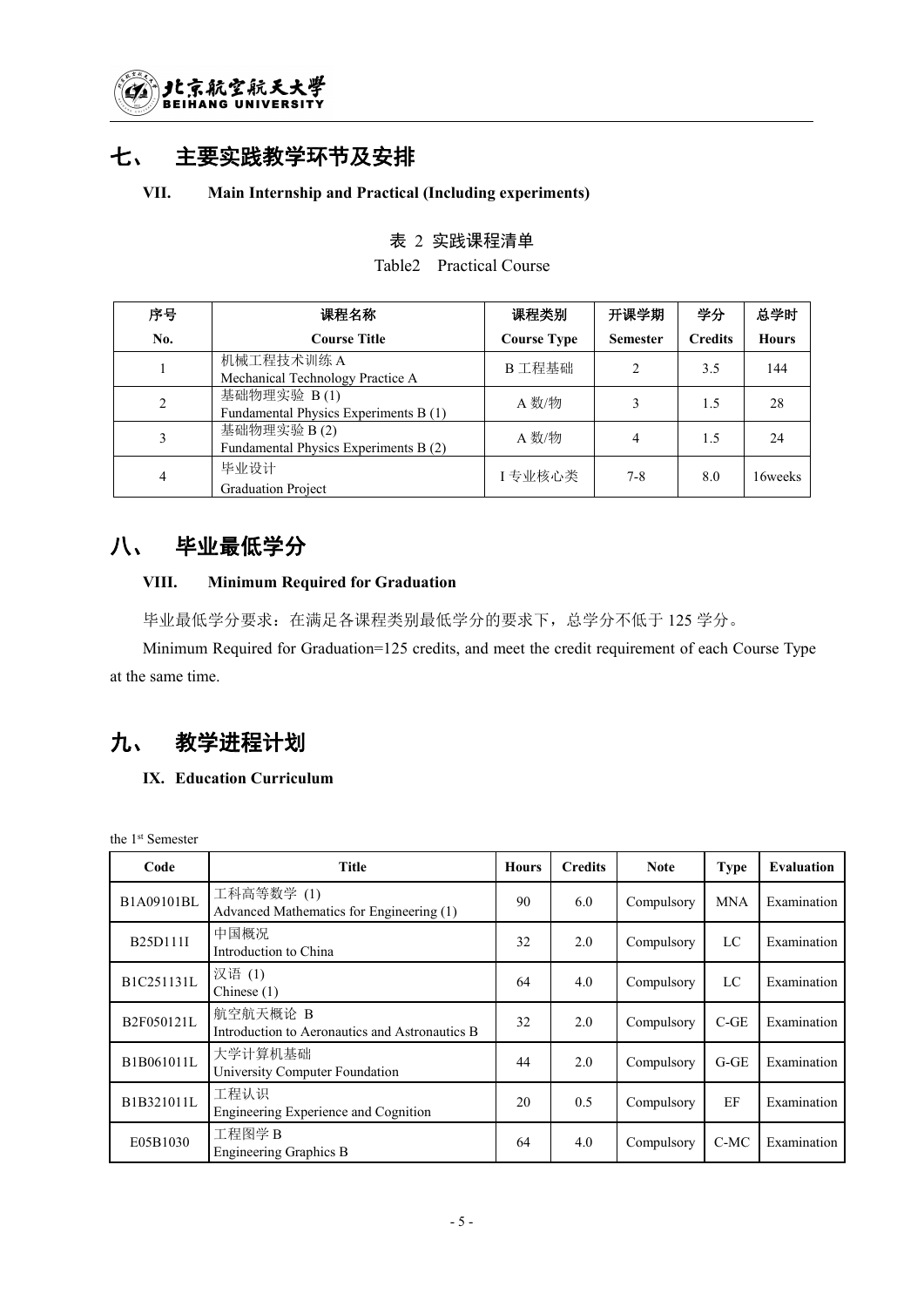

## 七、 主要实践教学环节及安排

#### **VII. Main Internship and Practical (Including experiments)**

### 表 2 实践课程清单

Table2 Practical Course

| 序号  | 课程名称                                                 | 课程类别               | 开课学期            | 学分             | 总学时          |
|-----|------------------------------------------------------|--------------------|-----------------|----------------|--------------|
| No. | <b>Course Title</b>                                  | <b>Course Type</b> | <b>Semester</b> | <b>Credits</b> | <b>Hours</b> |
|     | 机械工程技术训练 A<br>Mechanical Technology Practice A       | B 工程基础             |                 | 3.5            | 144          |
|     | 基础物理实验 B(1)<br>Fundamental Physics Experiments B (1) | A 数/物              |                 | 1.5            | 28           |
|     | 基础物理实验 B(2)<br>Fundamental Physics Experiments B (2) | A 数/物              | 4               | 1.5            | 24           |
|     | 毕业设计<br><b>Graduation Project</b>                    | I专业核心类             | $7 - 8$         | 8.0            | 16weeks      |

## 八、 毕业最低学分

#### **VIII. Minimum Required for Graduation**

毕业最低学分要求:在满足各课程类别最低学分的要求下,总学分不低于 125 学分。

Minimum Required for Graduation=125 credits, and meet the credit requirement of each Course Type at the same time.

## 九、 教学进程计划

#### **IX. Education Curriculum**

the 1 st Semester

| Code            | <b>Title</b>                                               | <b>Hours</b> | <b>Credits</b> | <b>Note</b> | <b>Type</b> | Evaluation  |
|-----------------|------------------------------------------------------------|--------------|----------------|-------------|-------------|-------------|
| B1A09101BL      | 工科高等数学(1)<br>Advanced Mathematics for Engineering (1)      | 90           | 6.0            | Compulsory  | <b>MNA</b>  | Examination |
| <b>B25D111L</b> | 中国概况<br>Introduction to China                              | 32           | 2.0            | Compulsory  | LC          | Examination |
| B1C251131L      | 汉语(1)<br>Chinese $(1)$                                     | 64           | 4.0            | Compulsory  | LC          | Examination |
| B2F050121L      | 航空航天概论 B<br>Introduction to Aeronautics and Astronautics B | 32           | 2.0            | Compulsory  | $C-GE$      | Examination |
| B1B061011L      | 大学计算机基础<br>University Computer Foundation                  | 44           | 2.0            | Compulsory  | $G-GE$      | Examination |
| B1B321011L      | 工程认识<br>Engineering Experience and Cognition               | 20           | 0.5            | Compulsory  | EF          | Examination |
| E05B1030        | 工程图学 B<br>Engineering Graphics B                           | 64           | 4.0            | Compulsory  | C-MC        | Examination |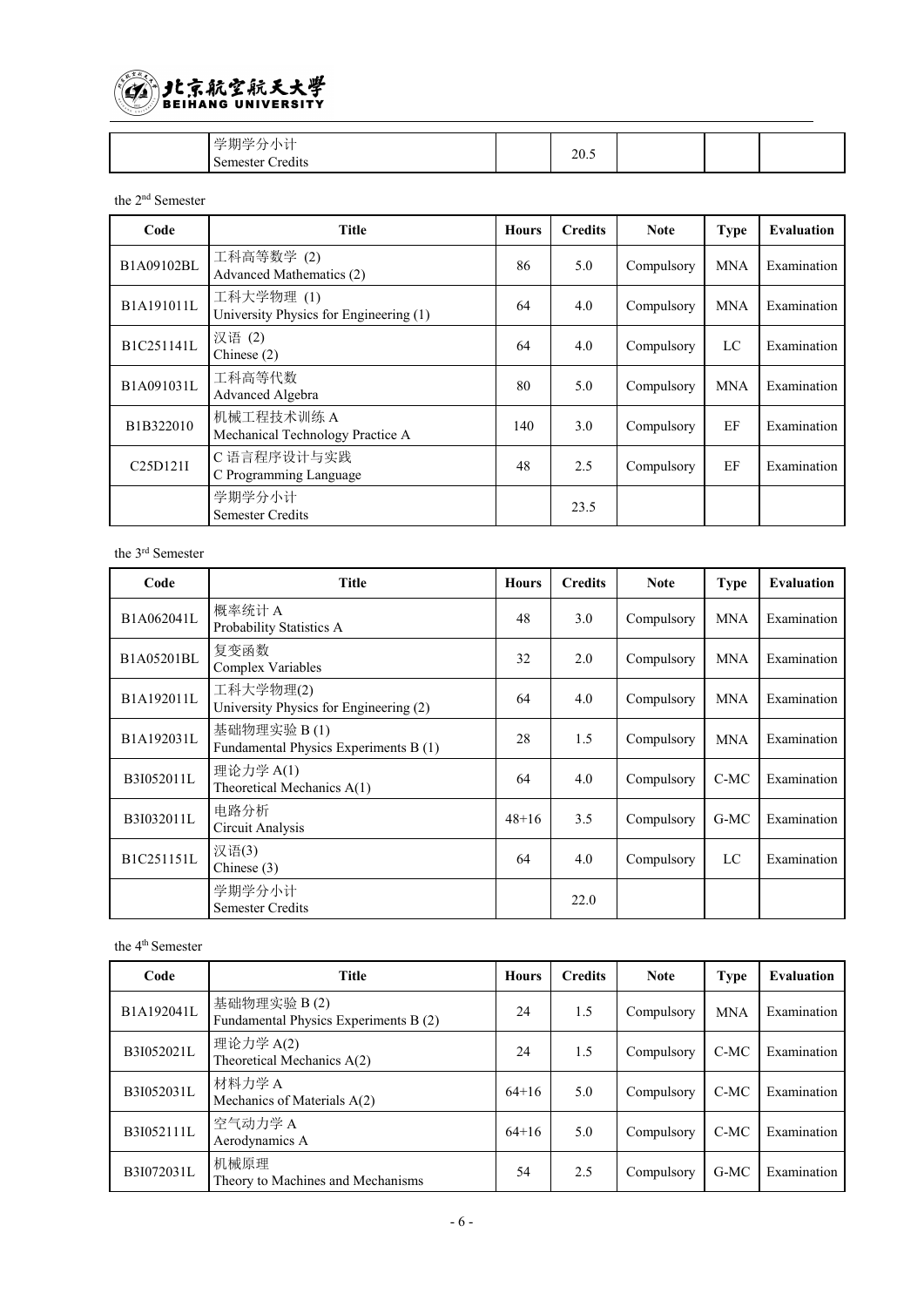

| $\lambda$ | 20<br>20.J |  |  |
|-----------|------------|--|--|

#### the 2 nd Semester

| Code                             | <b>Title</b>                                        | <b>Hours</b> | <b>Credits</b> | <b>Note</b> | <b>Type</b> | <b>Evaluation</b> |
|----------------------------------|-----------------------------------------------------|--------------|----------------|-------------|-------------|-------------------|
| B1A09102BL                       | 工科高等数学(2)<br>Advanced Mathematics (2)               | 86           | 5.0            | Compulsory  | <b>MNA</b>  | Examination       |
| B1A191011L                       | 工科大学物理(1)<br>University Physics for Engineering (1) | 64           | 4.0            | Compulsory  | <b>MNA</b>  | Examination       |
| B1C251141L                       | 汉语(2)<br>Chinese (2)                                | 64           | 4.0            | Compulsory  | LC          | Examination       |
| B1A091031L                       | 工科高等代数<br>Advanced Algebra                          | 80           | 5.0            | Compulsory  | <b>MNA</b>  | Examination       |
| B1B322010                        | 机械工程技术训练 A<br>Mechanical Technology Practice A      | 140          | 3.0            | Compulsory  | EF          | Examination       |
| C <sub>25</sub> D <sub>121</sub> | C 语言程序设计与实践<br>C Programming Language               | 48           | 2.5            | Compulsory  | EF          | Examination       |
|                                  | 学期学分小计<br><b>Semester Credits</b>                   |              | 23.5           |             |             |                   |

#### the 3 rd Semester

| Code       | <b>Title</b>                                         | <b>Hours</b> | <b>Credits</b> | <b>Note</b> | <b>Type</b> | Evaluation  |
|------------|------------------------------------------------------|--------------|----------------|-------------|-------------|-------------|
| B1A062041L | 概率统计A<br>Probability Statistics A                    | 48           | 3.0            | Compulsory  | <b>MNA</b>  | Examination |
| B1A05201BL | 复变函数<br>Complex Variables                            | 32           | 2.0            | Compulsory  | <b>MNA</b>  | Examination |
| B1A192011L | 工科大学物理(2)<br>University Physics for Engineering (2)  | 64           | 4.0            | Compulsory  | <b>MNA</b>  | Examination |
| B1A192031L | 基础物理实验 B(1)<br>Fundamental Physics Experiments B (1) | 28           | 1.5            | Compulsory  | <b>MNA</b>  | Examination |
| B3I052011L | 理论力学 A(1)<br>Theoretical Mechanics A(1)              | 64           | 4.0            | Compulsory  | C-MC        | Examination |
| B3I032011L | 电路分析<br>Circuit Analysis                             | $48 + 16$    | 3.5            | Compulsory  | $G-MC$      | Examination |
| B1C251151L | 汉语(3)<br>Chinese $(3)$                               | 64           | 4.0            | Compulsory  | LC          | Examination |
|            | 学期学分小计<br><b>Semester Credits</b>                    |              | 22.0           |             |             |             |

#### the 4 th Semester

| Code       | Title                                                | <b>Hours</b> | <b>Credits</b> | <b>Note</b> | <b>Type</b> | <b>Evaluation</b> |
|------------|------------------------------------------------------|--------------|----------------|-------------|-------------|-------------------|
| B1A192041L | 基础物理实验 B(2)<br>Fundamental Physics Experiments B (2) | 24           | 1.5            | Compulsory  | <b>MNA</b>  | Examination       |
| B3I052021L | 理论力学 A(2)<br>Theoretical Mechanics A(2)              | 24           | 1.5            | Compulsory  | $C-MC$      | Examination       |
| B3I052031L | 材料力学 A<br>Mechanics of Materials A(2)                | $64+16$      | 5.0            | Compulsory  | $C-MC$      | Examination       |
| B3I052111L | 空气动力学A<br>Aerodynamics A                             | $64+16$      | 5.0            | Compulsory  | $C-MC$      | Examination       |
| B3I072031L | 机械原理<br>Theory to Machines and Mechanisms            | 54           | 2.5            | Compulsory  | $G-MC$      | Examination       |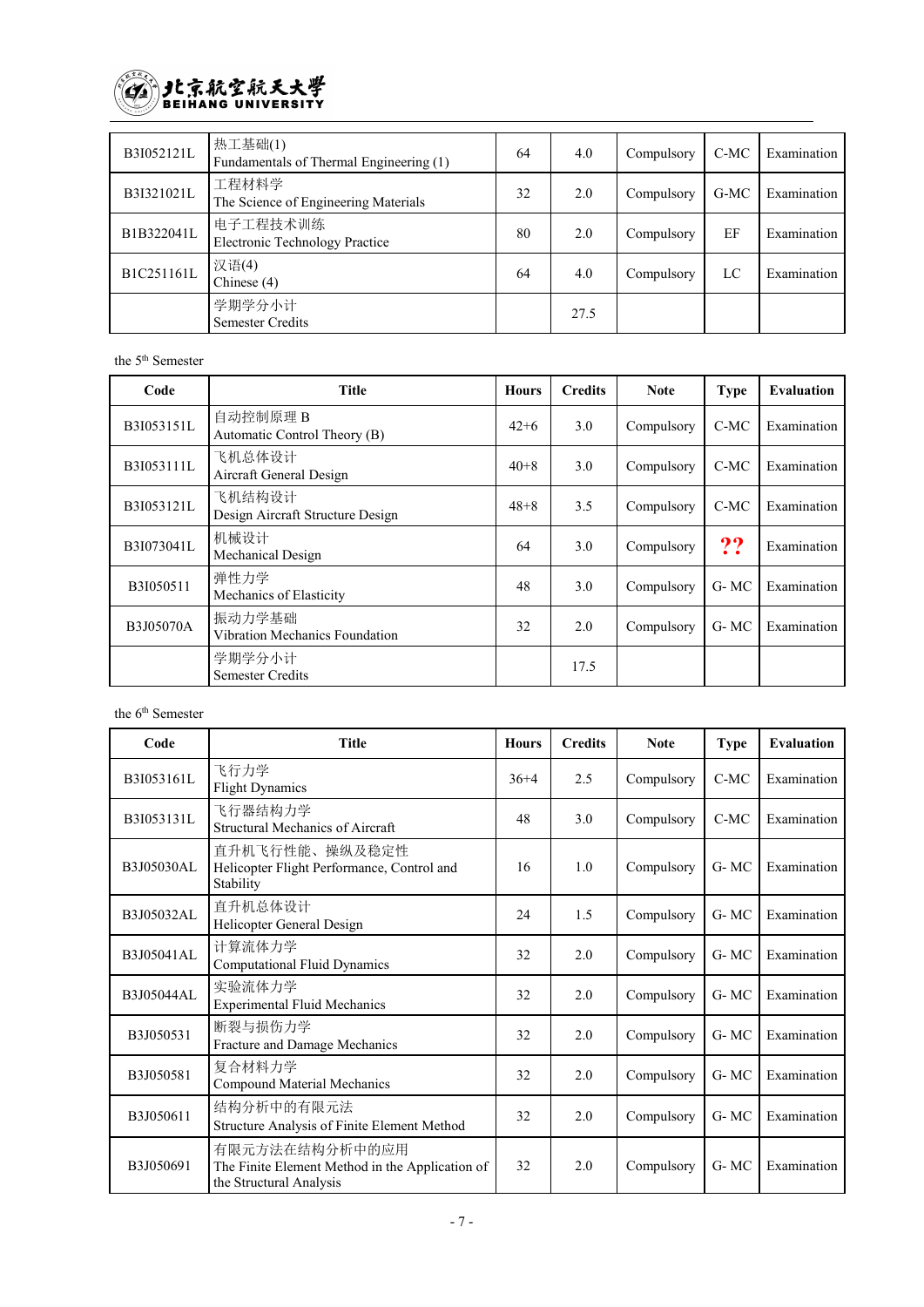

| B3I052121L | 热工基础(1)<br>Fundamentals of Thermal Engineering (1) | 64 | 4.0  | Compulsory | $C-MC$ | Examination |
|------------|----------------------------------------------------|----|------|------------|--------|-------------|
| B3I321021L | 工程材料学<br>The Science of Engineering Materials      | 32 | 2.0  | Compulsory | G-MC   | Examination |
| B1B322041L | 电子工程技术训练<br><b>Electronic Technology Practice</b>  | 80 | 2.0  | Compulsory | EF     | Examination |
| B1C251161L | 汉语(4)<br>Chinese $(4)$                             | 64 | 4.0  | Compulsory | LC     | Examination |
|            | 学期学分小计<br>Semester Credits                         |    | 27.5 |            |        |             |

#### the 5 th Semester

| Code       | <b>Title</b>                               | <b>Hours</b> | <b>Credits</b> | <b>Note</b> | <b>Type</b> | <b>Evaluation</b> |
|------------|--------------------------------------------|--------------|----------------|-------------|-------------|-------------------|
| B3I053151L | 自动控制原理 B<br>Automatic Control Theory (B)   | $42+6$       | 3.0            | Compulsory  | C-MC        | Examination       |
| B3I053111L | 飞机总体设计<br>Aircraft General Design          | $40 + 8$     | 3.0            | Compulsory  | C-MC        | Examination       |
| B3I053121L | 飞机结构设计<br>Design Aircraft Structure Design | $48 + 8$     | 3.5            | Compulsory  | $C-MC$      | Examination       |
| B3I073041L | 机械设计<br>Mechanical Design                  | 64           | 3.0            | Compulsory  | ??          | Examination       |
| B3I050511  | 弹性力学<br>Mechanics of Elasticity            | 48           | 3.0            | Compulsory  | G-MC        | Examination       |
| B3J05070A  | 振动力学基础 <br>Vibration Mechanics Foundation  | 32           | 2.0            | Compulsory  | G-MC        | Examination       |
|            | 学期学分小计<br>Semester Credits                 |              | 17.5           |             |             |                   |

the 6 th Semester

| Code       | <b>Title</b>                                                                                 | <b>Hours</b> | <b>Credits</b> | <b>Note</b> | <b>Type</b> | <b>Evaluation</b> |
|------------|----------------------------------------------------------------------------------------------|--------------|----------------|-------------|-------------|-------------------|
| B3I053161L | 飞行力学<br><b>Flight Dynamics</b>                                                               | $36+4$       | 2.5            | Compulsory  | $C-MC$      | Examination       |
| B3I053131L | 飞行器结构力学<br>Structural Mechanics of Aircraft                                                  | 48           | 3.0            | Compulsory  | $C-MC$      | Examination       |
| B3J05030AL | 直升机飞行性能、操纵及稳定性<br>Helicopter Flight Performance, Control and<br>Stability                    | 16           | 1.0            | Compulsory  | G-MC        | Examination       |
| B3J05032AL | 直升机总体设计<br>Helicopter General Design                                                         | 24           | 1.5            | Compulsory  | G-MC        | Examination       |
| B3J05041AL | 计算流体力学<br><b>Computational Fluid Dynamics</b>                                                | 32           | 2.0            | Compulsory  | G-MC        | Examination       |
| B3J05044AL | 实验流体力学<br><b>Experimental Fluid Mechanics</b>                                                | 32           | 2.0            | Compulsory  | G-MC        | Examination       |
| B3J050531  | 断裂与损伤力学<br>Fracture and Damage Mechanics                                                     | 32           | 2.0            | Compulsory  | G-MC        | Examination       |
| B3J050581  | 复合材料力学<br>Compound Material Mechanics                                                        | 32           | 2.0            | Compulsory  | $G-MC$      | Examination       |
| B3J050611  | 结构分析中的有限元法<br>Structure Analysis of Finite Element Method                                    | 32           | 2.0            | Compulsory  | $G-MC$      | Examination       |
| B3J050691  | 有限元方法在结构分析中的应用<br>The Finite Element Method in the Application of<br>the Structural Analysis | 32           | 2.0            | Compulsory  | G-MC        | Examination       |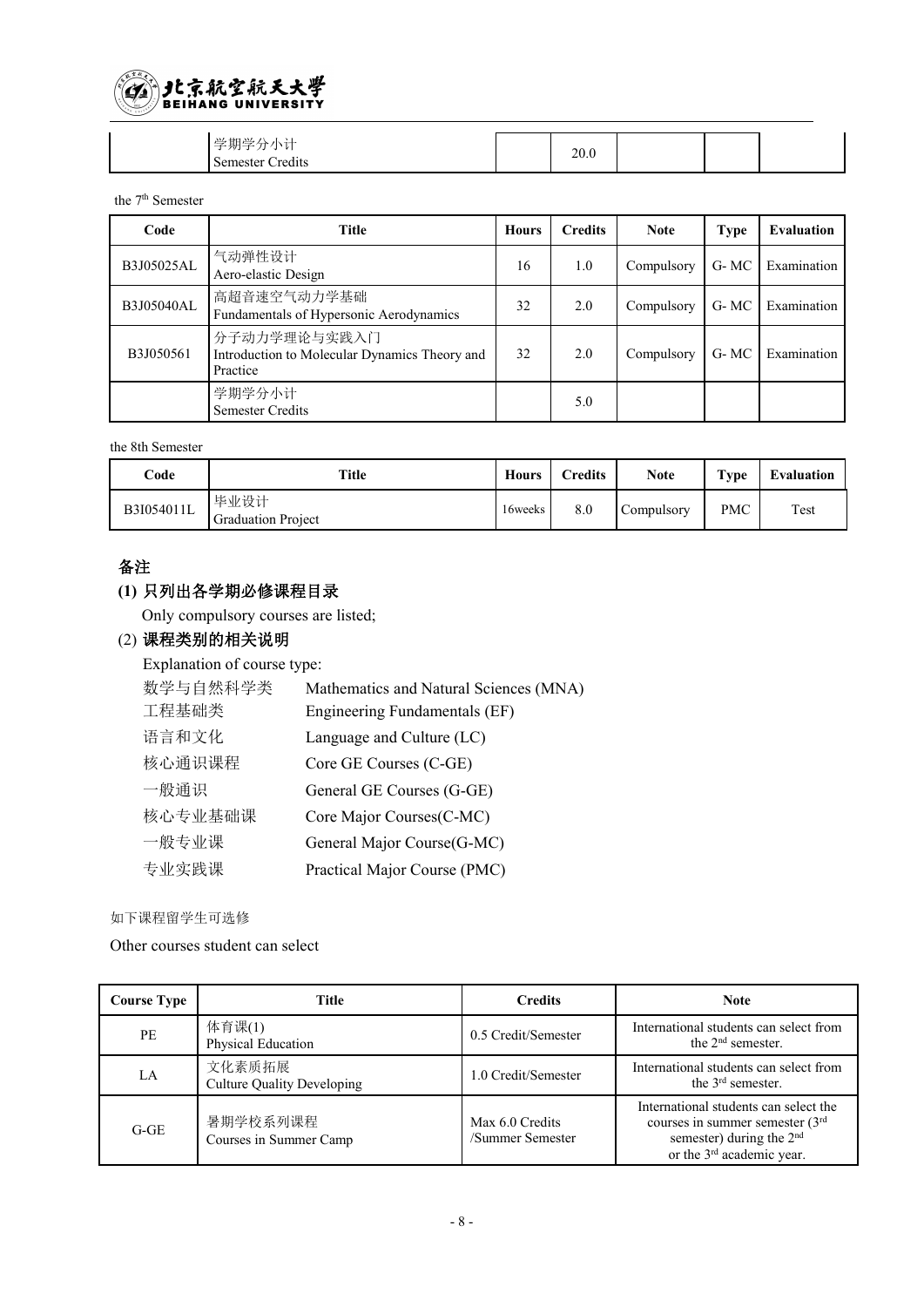

| $\mathcal{M}$<br>·甘日<br>$\overline{\mathcal{M}}$<br>._<br>--<br>. r | 20.0 |  |  |
|---------------------------------------------------------------------|------|--|--|
| . .<br>$\sim$<br>$-$<br>: amac<br>d1ts<br>$-24$                     |      |  |  |

the 7 th Semester

| Code       | <b>Title</b>                                                              | Hours | <b>Credits</b> | <b>Note</b> | Type  | <b>Evaluation</b> |
|------------|---------------------------------------------------------------------------|-------|----------------|-------------|-------|-------------------|
| B3J05025AL | 气动弹性设计<br>Aero-elastic Design                                             | 16    | 1.0            | Compulsory  | G- MC | Examination       |
| B3J05040AL | 高超音速空气动力学基础<br>Fundamentals of Hypersonic Aerodynamics                    | 32    | 2.0            | Compulsory  | G- MC | Examination       |
| B3J050561  | 分子动力学理论与实践入门<br>Introduction to Molecular Dynamics Theory and<br>Practice | 32    | 2.0            | Compulsory  | G-MC  | Examination       |
|            | 学期学分小计<br><b>Semester Credits</b>                                         |       | 5.0            |             |       |                   |

the 8th Semester

| $\bf Code$ | Title                             | <b>Hours</b> | <b>Credits</b> | <b>Note</b> | Type       | Evaluation |
|------------|-----------------------------------|--------------|----------------|-------------|------------|------------|
| B3I054011L | 毕业设计<br><b>Graduation Project</b> | 16weeks      | 8.0            | Compulsory  | <b>PMC</b> | Test       |

#### 备注

### **(1)** 只列出各学期必修课程目录

Only compulsory courses are listed;

### (2) 课程类别的相关说明

Explanation of course type:

| 数学与自然科学类 | Mathematics and Natural Sciences (MNA) |
|----------|----------------------------------------|
| 工程基础类    | Engineering Fundamentals (EF)          |
| 语言和文化    | Language and Culture (LC)              |
| 核心通识课程   | Core GE Courses (C-GE)                 |
| 一般通识     | General GE Courses (G-GE)              |
| 核心专业基础课  | Core Major Courses (C-MC)              |
| 一般专业课    | General Major Course(G-MC)             |
| 专业实践课    | Practical Major Course (PMC)           |

如下课程留学生可选修

Other courses student can select

| <b>Course Type</b> | Title                                       | <b>Credits</b>                      | Note                                                                                                                                                         |
|--------------------|---------------------------------------------|-------------------------------------|--------------------------------------------------------------------------------------------------------------------------------------------------------------|
| PE                 | 体育课(1)<br>Physical Education                | 0.5 Credit/Semester                 | International students can select from<br>the $2nd$ semester.                                                                                                |
| LA                 | 文化素质拓展<br><b>Culture Quality Developing</b> | 1.0 Credit/Semester                 | International students can select from<br>the $3rd$ semester.                                                                                                |
| $G-GE$             | 暑期学校系列课程<br>Courses in Summer Camp          | Max 6.0 Credits<br>/Summer Semester | International students can select the<br>courses in summer semester $(3rd)$<br>semester) during the 2 <sup>nd</sup><br>or the 3 <sup>rd</sup> academic year. |